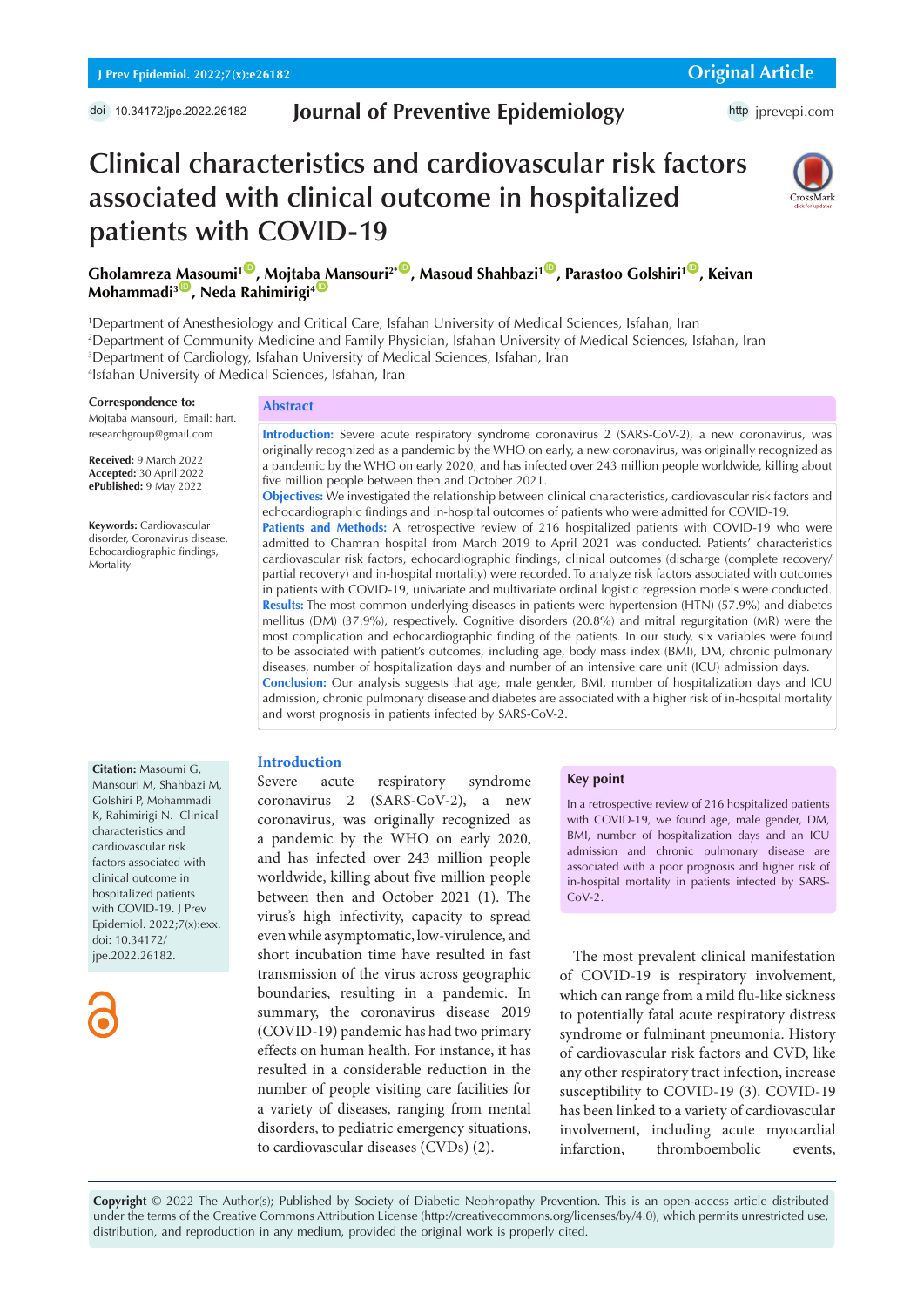# **Journal of Preventive Epidemiology**

http [jprevepi.com](http://jprevepi.com)

# **Clinical characteristics and cardiovascular risk factors associated with clinical outcome in hospitalized patients with COVID-19**



**Gholamreza [Ma](https://orcid.org/0000-0002-7153-1242)soumi<sup>1</sup><sup>10</sup>, Mojta[ba M](https://orcid.org/0000-0003-1038-2674)ansouri<sup>2\*</sup><sup>10</sup>, Masoud Shahbazi<sup>1</sup><sup>10</sup>, Parastoo Golshiri<sup>1</sup><sup>10</sup>, Keivan Mohammadi<sup>3</sup><sup>(0</sup>), Neda Rahimirigi<sup>4</sup>** 

 Department of Anesthesiology and Critical Care, Isfahan University of Medical Sciences, Isfahan, Iran Department of Community Medicine and Family Physician, Isfahan University of Medical Sciences, Isfahan, Iran Department of Cardiology, Isfahan University of Medical Sciences, Isfahan, Iran Isfahan University of Medical Sciences, Isfahan, Iran

#### **Correspondence to:**

Mojtaba Mansouri, Email: hart. researchgroup@gmail.com

**Received:** 9 March 2022 **Accepted:** 30 April 2022 **ePublished:** 9 May 2022

**Keywords:** Cardiovascular disorder, Coronavirus disease, Echocardiographic findings, Mortality

**Abstract**

**Introduction:** Severe acute respiratory syndrome coronavirus 2 (SARS-CoV-2), a new coronavirus, was originally recognized as a pandemic by the WHO on early, a new coronavirus, was originally recognized as a pandemic by the WHO on early 2020, and has infected over 243 million people worldwide, killing about five million people between then and October 2021.

**Objectives:** We investigated the relationship between clinical characteristics, cardiovascular risk factors and echocardiographic findings and in-hospital outcomes of patients who were admitted for COVID-19.

**Patients and Methods:** A retrospective review of 216 hospitalized patients with COVID-19 who were admitted to Chamran hospital from March 2019 to April 2021 was conducted. Patients' characteristics cardiovascular risk factors, echocardiographic findings, clinical outcomes (discharge (complete recovery/ partial recovery) and in-hospital mortality) were recorded. To analyze risk factors associated with outcomes in patients with COVID-19, univariate and multivariate ordinal logistic regression models were conducted. **Results:** The most common underlying diseases in patients were hypertension (HTN) (57.9%) and diabetes mellitus (DM) (37.9%), respectively. Cognitive disorders (20.8%) and mitral regurgitation (MR) were the most complication and echocardiographic finding of the patients. In our study, six variables were found to be associated with patient's outcomes, including age, body mass index (BMI), DM, chronic pulmonary diseases, number of hospitalization days and number of an intensive care unit (ICU) admission days. **Conclusion:** Our analysis suggests that age, male gender, BMI, number of hospitalization days and ICU admission, chronic pulmonary disease and diabetes are associated with a higher risk of in-hospital mortality and worst prognosis in patients infected by SARS-CoV-2.

#### **Introduction**

Severe acute respiratory syndrome coronavirus 2 (SARS-CoV-2), a new coronavirus, was originally recognized as a pandemic by the WHO on early 2020, and has infected over 243 million people worldwide, killing about five million people between then and October 2021 (1). The virus's high infectivity, capacity to spread even while asymptomatic, low-virulence, and short incubation time have resulted in fast transmission of the virus across geographic boundaries, resulting in a pandemic. In summary, the coronavirus disease 2019 (COVID-19) pandemic has had two primary effects on human health. For instance, it has resulted in a considerable reduction in the number of people visiting care facilities for a variety of diseases, ranging from mental disorders, to pediatric emergency situations, to cardiovascular diseases (CVDs) (2).

#### **Key point**

In a retrospective review of 216 hospitalized patients with COVID-19, we found age, male gender, DM, BMI, number of hospitalization days and an ICU admission and chronic pulmonary disease are associated with a poor prognosis and higher risk of in-hospital mortality in patients infected by SARS- $C_0V-2$ 

The most prevalent clinical manifestation of COVID-19 is respiratory involvement, which can range from a mild flu-like sickness to potentially fatal acute respiratory distress syndrome or fulminant pneumonia. History of cardiovascular risk factors and CVD, like any other respiratory tract infection, increase susceptibility to COVID-19 (3). COVID-19 has been linked to a variety of cardiovascular involvement, including acute myocardial infarction, thromboembolic events,

**Copyright** © 2022 The Author(s); Published by Society of Diabetic Nephropathy Prevention. This is an open-access article distributed under the terms of the Creative Commons Attribution License (http://creativecommons.org/licenses/by/4.0), which permits unrestricted use, distribution, and reproduction in any medium, provided the original work is properly cited.

Mansouri M, Shahbazi M, Golshiri P, Mohammadi K, Rahimirigi N. Clinical characteristics and cardiovascular risk factors associated with clinical outcome in hospitalized patients with COVID-19. J Prev Epidemiol. 2022;7(x):exx. doi: 10.34172/ jpe.2022.26182.

**Citation:** Masoumi G,

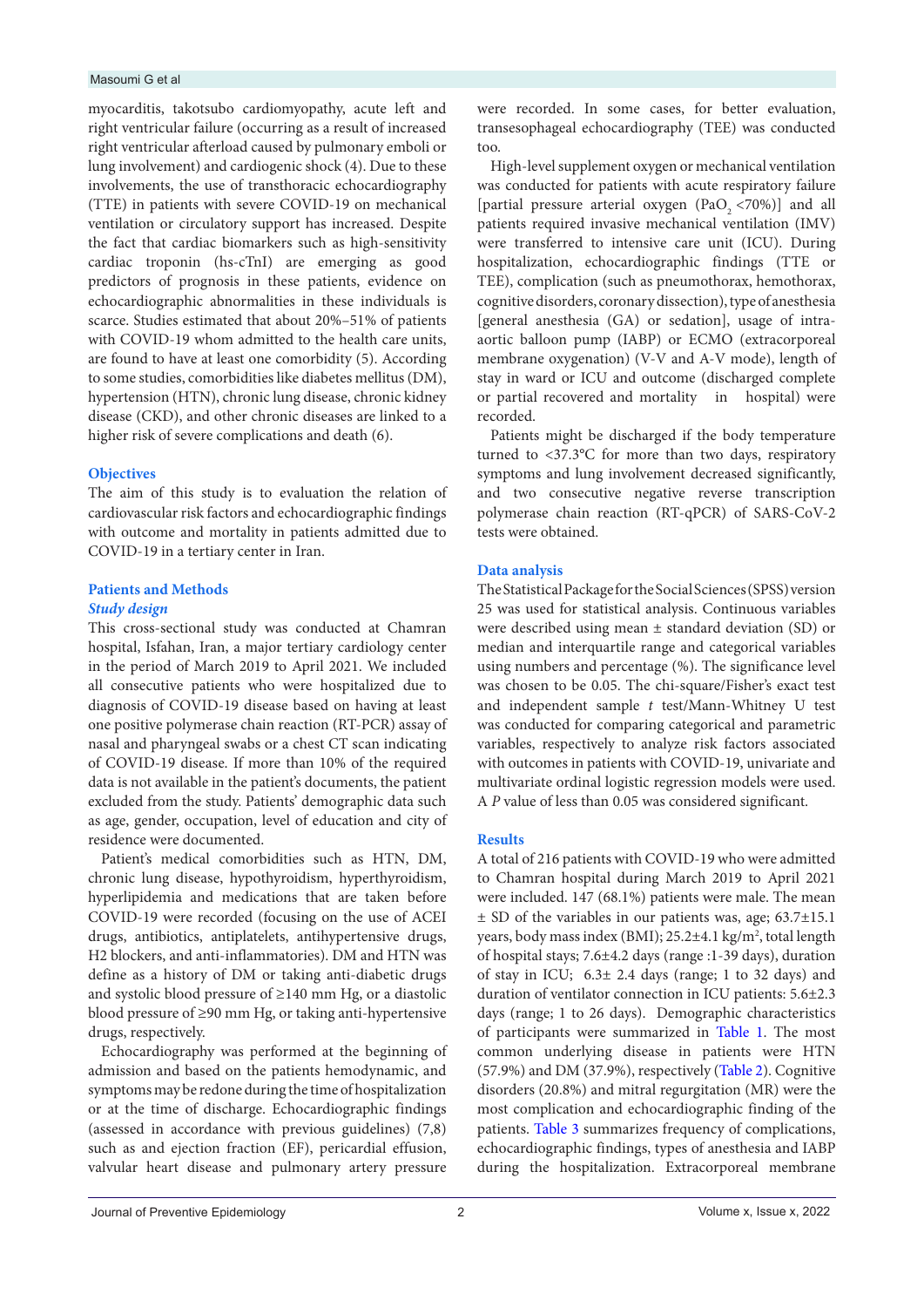#### Masoumi G et al

myocarditis, takotsubo cardiomyopathy, acute left and right ventricular failure (occurring as a result of increased right ventricular afterload caused by pulmonary emboli or lung involvement) and cardiogenic shock (4). Due to these involvements, the use of transthoracic echocardiography (TTE) in patients with severe COVID-19 on mechanical ventilation or circulatory support has increased. Despite the fact that cardiac biomarkers such as high-sensitivity cardiac troponin (hs-cTnI) are emerging as good predictors of prognosis in these patients, evidence on echocardiographic abnormalities in these individuals is scarce. Studies estimated that about 20%–51% of patients with COVID-19 whom admitted to the health care units, are found to have at least one comorbidity (5). According to some studies, comorbidities like diabetes mellitus (DM), hypertension (HTN), chronic lung disease, chronic kidney disease (CKD), and other chronic diseases are linked to a higher risk of severe complications and death (6).

## **Objectives**

The aim of this study is to evaluation the relation of cardiovascular risk factors and echocardiographic findings with outcome and mortality in patients admitted due to COVID-19 in a tertiary center in Iran.

# **Patients and Methods**  *Study design*

This cross-sectional study was conducted at Chamran hospital, Isfahan, Iran, a major tertiary cardiology center in the period of March 2019 to April 2021. We included all consecutive patients who were hospitalized due to diagnosis of COVID-19 disease based on having at least one positive polymerase chain reaction (RT-PCR) assay of nasal and pharyngeal swabs or a chest CT scan indicating of COVID-19 disease. If more than 10% of the required data is not available in the patient's documents, the patient excluded from the study. Patients' demographic data such as age, gender, occupation, level of education and city of residence were documented.

Patient's medical comorbidities such as HTN, DM, chronic lung disease, hypothyroidism, hyperthyroidism, hyperlipidemia and medications that are taken before COVID-19 were recorded (focusing on the use of ACEI drugs, antibiotics, antiplatelets, antihypertensive drugs, H2 blockers, and anti-inflammatories). DM and HTN was define as a history of DM or taking anti-diabetic drugs and systolic blood pressure of ≥140 mm Hg, or a diastolic blood pressure of ≥90 mm Hg, or taking anti-hypertensive drugs, respectively.

Echocardiography was performed at the beginning of admission and based on the patients hemodynamic, and symptoms may be redone during the time of hospitalization or at the time of discharge. Echocardiographic findings (assessed in accordance with previous guidelines) (7,8) such as and ejection fraction (EF), pericardial effusion, valvular heart disease and pulmonary artery pressure

were recorded. In some cases, for better evaluation, transesophageal echocardiography (TEE) was conducted too.

High-level supplement oxygen or mechanical ventilation was conducted for patients with acute respiratory failure [partial pressure arterial oxygen  $(PaO, <70%)$ ] and all patients required invasive mechanical ventilation (IMV) were transferred to intensive care unit (ICU). During hospitalization, echocardiographic findings (TTE or TEE), complication (such as pneumothorax, hemothorax, cognitive disorders, coronary dissection), type of anesthesia [general anesthesia (GA) or sedation], usage of intraaortic balloon pump (IABP) or ECMO (extracorporeal membrane oxygenation) (V-V and A-V mode), length of stay in ward or ICU and outcome (discharged complete or partial recovered and mortality in hospital) were recorded.

Patients might be discharged if the body temperature turned to <37.3°C for more than two days, respiratory symptoms and lung involvement decreased significantly, and two consecutive negative reverse transcription polymerase chain reaction (RT-qPCR) of SARS-CoV-2 tests were obtained.

# **Data analysis**

The Statistical Package for the Social Sciences (SPSS) version 25 was used for statistical analysis. Continuous variables were described using mean ± standard deviation (SD) or median and interquartile range and categorical variables using numbers and percentage (%). The significance level was chosen to be 0.05. The chi-square/Fisher's exact test and independent sample *t* test/Mann-Whitney U test was conducted for comparing categorical and parametric variables, respectively to analyze risk factors associated with outcomes in patients with COVID-19, univariate and multivariate ordinal logistic regression models were used. A *P* value of less than 0.05 was considered significant.

# **Results**

A total of 216 patients with COVID-19 who were admitted to Chamran hospital during March 2019 to April 2021 were included. 147 (68.1%) patients were male. The mean ± SD of the variables in our patients was, age; 63.7±15.1 years, body mass index (BMI); 25.2±4.1 kg/m<sup>2</sup>, total length of hospital stays; 7.6±4.2 days (range :1-39 days), duration of stay in ICU; 6.3± 2.4 days (range; 1 to 32 days) and duration of ventilator connection in ICU patients: 5.6±2.3 days (range; 1 to 26 days). Demographic characteristics of participants were summarized in [Table 1](#page-2-0). The most common underlying disease in patients were HTN (57.9%) and DM (37.9%), respectively ([Table 2\)](#page-2-1). Cognitive disorders (20.8%) and mitral regurgitation (MR) were the most complication and echocardiographic finding of the patients. [Table 3](#page-2-2) summarizes frequency of complications, echocardiographic findings, types of anesthesia and IABP during the hospitalization. Extracorporeal membrane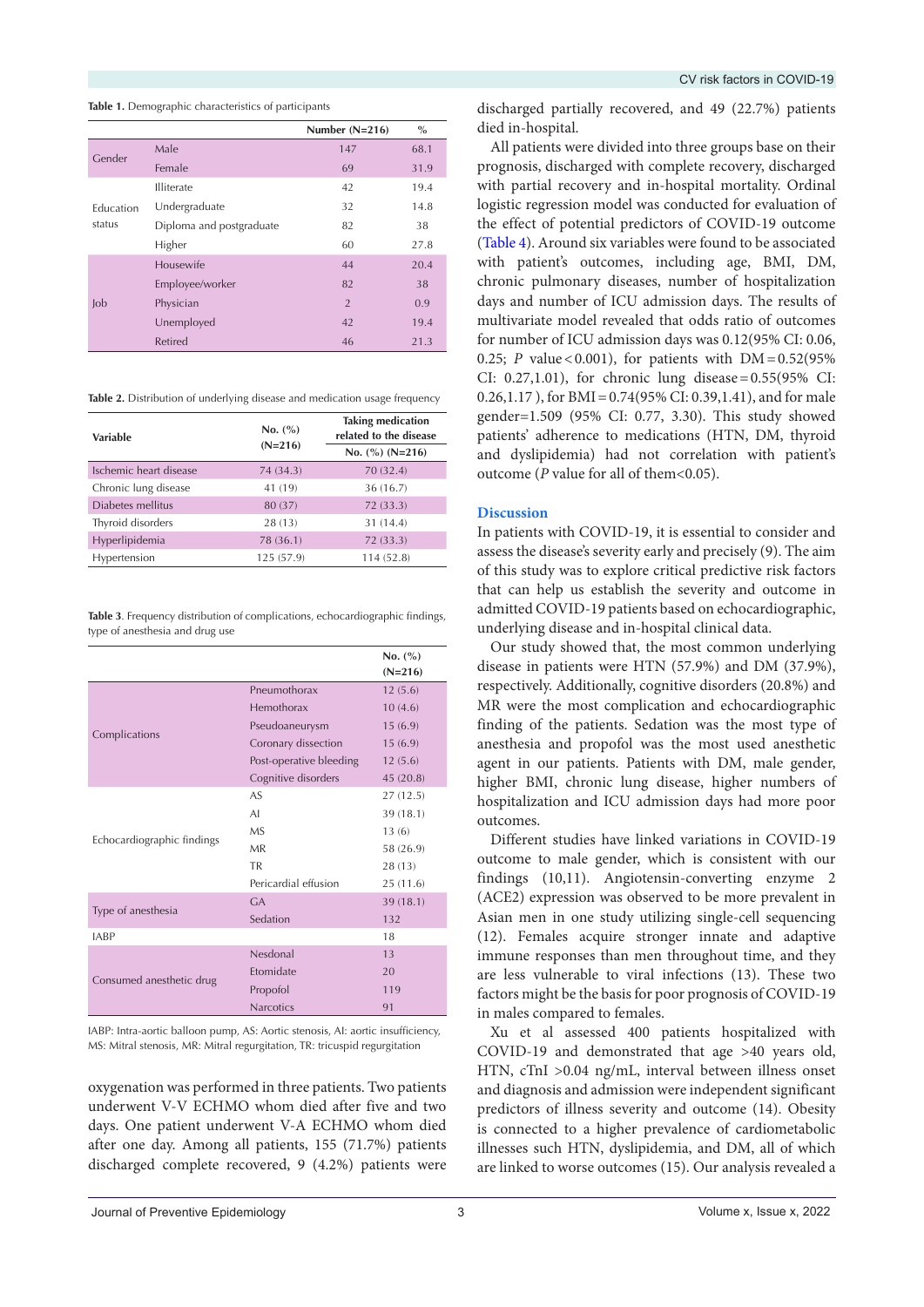<span id="page-2-0"></span>**Table 1.** Demographic characteristics of participants

|                     |                          | Number $(N=216)$ | $\%$ |
|---------------------|--------------------------|------------------|------|
| Gender              | Male                     | 147              | 68.1 |
|                     | Female                   | 69               | 31.9 |
| Education<br>status | <b>Illiterate</b>        | 42               | 19.4 |
|                     | Undergraduate            | 32               | 14.8 |
|                     | Diploma and postgraduate | 82               | 38   |
|                     | Higher                   | 60               | 27.8 |
| $\mathsf{J}$        | Housewife                | 44               | 20.4 |
|                     | Employee/worker          | 82               | 38   |
|                     | Physician                | $\overline{2}$   | 0.9  |
|                     | Unemployed               | 42               | 19.4 |
|                     | <b>Retired</b>           | 46               | 21.3 |

<span id="page-2-1"></span>**Table 2.** Distribution of underlying disease and medication usage frequency

| Variable               | No. (%)<br>$(N=216)$ | <b>Taking medication</b><br>related to the disease<br>No. $(\%)$ (N=216) |  |  |
|------------------------|----------------------|--------------------------------------------------------------------------|--|--|
| Ischemic heart disease | 74 (34.3)            | 70 (32.4)                                                                |  |  |
| Chronic lung disease   | 41 (19)              | 36(16.7)                                                                 |  |  |
| Diabetes mellitus      | 80 (37)              | 72(33.3)                                                                 |  |  |
| Thyroid disorders      | 28 (13)              | 31 (14.4)                                                                |  |  |
| Hyperlipidemia         | 78 (36.1)            | 72 (33.3)                                                                |  |  |
| Hypertension           | 125 (57.9)           | 114 (52.8)                                                               |  |  |

<span id="page-2-2"></span>**Table 3**. Frequency distribution of complications, echocardiographic findings, type of anesthesia and drug use

|                            |                         | No. (%)   |
|----------------------------|-------------------------|-----------|
|                            |                         | $(N=216)$ |
|                            | Pneumothorax            | 12(5.6)   |
|                            | Hemothorax              | 10(4.6)   |
|                            | Pseudoaneurysm          | 15(6.9)   |
| Complications              | Coronary dissection     | 15(6.9)   |
|                            | Post-operative bleeding | 12(5.6)   |
|                            | Cognitive disorders     | 45 (20.8) |
|                            | AS.                     | 27 (12.5) |
|                            | AI                      | 39(18.1)  |
|                            | M <sub>S</sub>          | 13(6)     |
| Echocardiographic findings | MR                      | 58 (26.9) |
|                            | <b>TR</b>               | 28(13)    |
|                            | Pericardial effusion    | 25(11.6)  |
|                            | $G_A$                   | 39 (18.1) |
| Type of anesthesia         | Sedation                | 132       |
| <b>IABP</b>                |                         | 18        |
|                            | Nesdonal                | 13        |
|                            | <b>Ftomidate</b>        | 20        |
| Consumed anesthetic drug   | Propofol                | 119       |
|                            | <b>Narcotics</b>        | 91        |

IABP: Intra-aortic balloon pump, AS: Aortic stenosis, AI: aortic insufficiency, MS: Mitral stenosis, MR: Mitral regurgitation, TR: tricuspid regurgitation

oxygenation was performed in three patients. Two patients underwent V-V ECHMO whom died after five and two days. One patient underwent V-A ECHMO whom died after one day. Among all patients, 155 (71.7%) patients discharged complete recovered, 9 (4.2%) patients were

discharged partially recovered, and 49 (22.7%) patients died in-hospital.

All patients were divided into three groups base on their prognosis, discharged with complete recovery, discharged with partial recovery and in-hospital mortality. Ordinal logistic regression model was conducted for evaluation of the effect of potential predictors of COVID-19 outcome [\(Table 4](#page-3-0)). Around six variables were found to be associated with patient's outcomes, including age, BMI, DM, chronic pulmonary diseases, number of hospitalization days and number of ICU admission days. The results of multivariate model revealed that odds ratio of outcomes for number of ICU admission days was 0.12(95% CI: 0.06, 0.25; *P* value < 0.001), for patients with DM = 0.52(95% CI: 0.27,1.01), for chronic lung disease=0.55(95% CI: 0.26,1.17 ), for BMI=0.74(95% CI: 0.39,1.41), and for male gender=1.509 (95% CI: 0.77, 3.30). This study showed patients' adherence to medications (HTN, DM, thyroid and dyslipidemia) had not correlation with patient's outcome (*P* value for all of them<0.05).

# **Discussion**

In patients with COVID-19, it is essential to consider and assess the disease's severity early and precisely (9). The aim of this study was to explore critical predictive risk factors that can help us establish the severity and outcome in admitted COVID-19 patients based on echocardiographic, underlying disease and in-hospital clinical data.

Our study showed that, the most common underlying disease in patients were HTN (57.9%) and DM (37.9%), respectively. Additionally, cognitive disorders (20.8%) and MR were the most complication and echocardiographic finding of the patients. Sedation was the most type of anesthesia and propofol was the most used anesthetic agent in our patients. Patients with DM, male gender, higher BMI, chronic lung disease, higher numbers of hospitalization and ICU admission days had more poor outcomes.

Different studies have linked variations in COVID-19 outcome to male gender, which is consistent with our findings (10,11). Angiotensin-converting enzyme 2 (ACE2) expression was observed to be more prevalent in Asian men in one study utilizing single-cell sequencing (12). Females acquire stronger innate and adaptive immune responses than men throughout time, and they are less vulnerable to viral infections (13). These two factors might be the basis for poor prognosis of COVID-19 in males compared to females.

Xu et al assessed 400 patients hospitalized with COVID-19 and demonstrated that age >40 years old, HTN, cTnI >0.04 ng/mL, interval between illness onset and diagnosis and admission were independent significant predictors of illness severity and outcome (14). Obesity is connected to a higher prevalence of cardiometabolic illnesses such HTN, dyslipidemia, and DM, all of which are linked to worse outcomes (15). Our analysis revealed a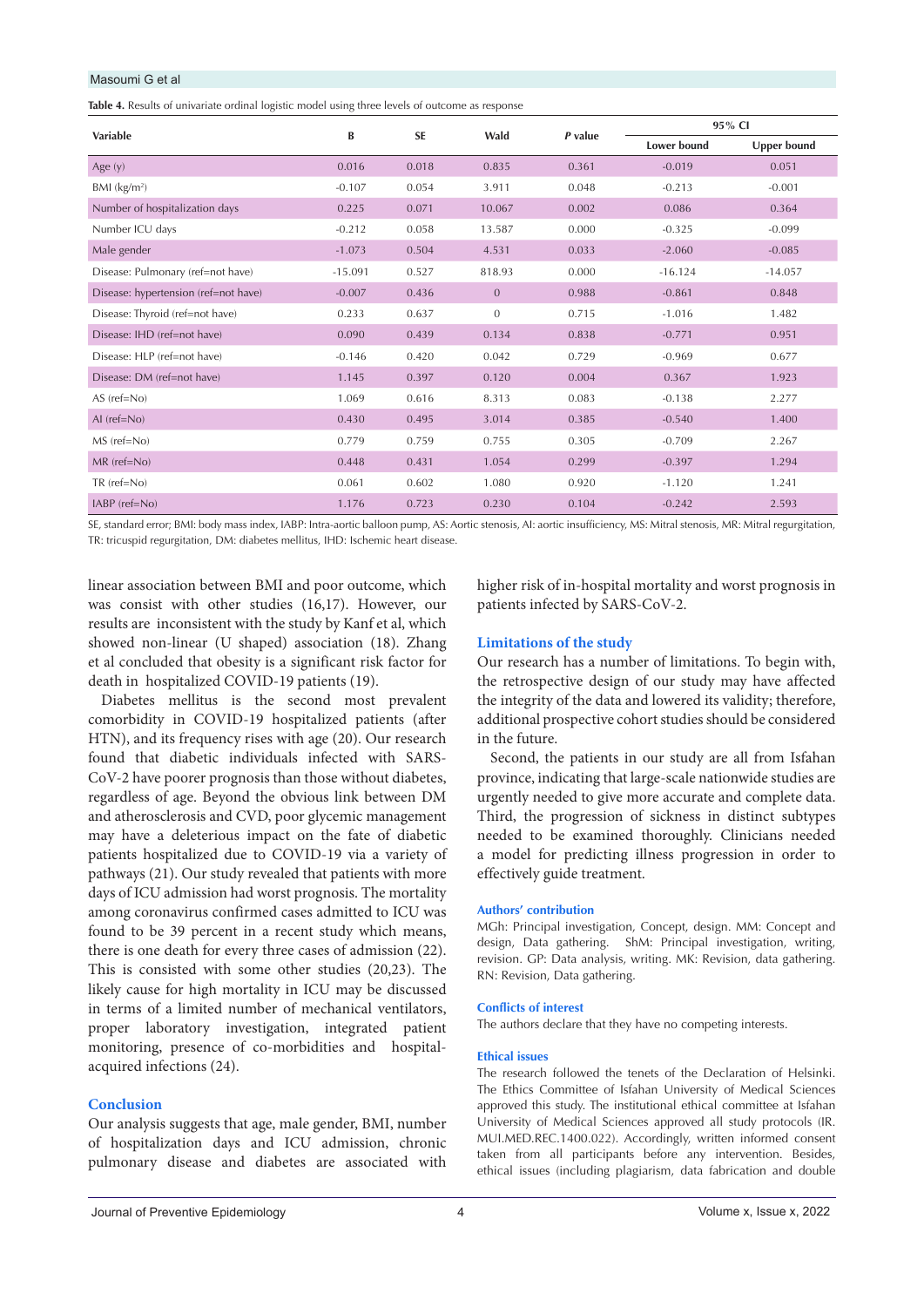## Masoumi G et al

<span id="page-3-0"></span>**Table 4.** Results of univariate ordinal logistic model using three levels of outcome as response

| Variable                             | B         | <b>SE</b> | Wald           | P value | 95% CI             |             |
|--------------------------------------|-----------|-----------|----------------|---------|--------------------|-------------|
|                                      |           |           |                |         | <b>Lower bound</b> | Upper bound |
| Age $(y)$                            | 0.016     | 0.018     | 0.835          | 0.361   | $-0.019$           | 0.051       |
| BMI $(kg/m2)$                        | $-0.107$  | 0.054     | 3.911          | 0.048   | $-0.213$           | $-0.001$    |
| Number of hospitalization days       | 0.225     | 0.071     | 10.067         | 0.002   | 0.086              | 0.364       |
| Number ICU days                      | $-0.212$  | 0.058     | 13.587         | 0.000   | $-0.325$           | $-0.099$    |
| Male gender                          | $-1.073$  | 0.504     | 4.531          | 0.033   | $-2.060$           | $-0.085$    |
| Disease: Pulmonary (ref=not have)    | $-15.091$ | 0.527     | 818.93         | 0.000   | $-16.124$          | $-14.057$   |
| Disease: hypertension (ref=not have) | $-0.007$  | 0.436     | $\overline{0}$ | 0.988   | $-0.861$           | 0.848       |
| Disease: Thyroid (ref=not have)      | 0.233     | 0.637     | $\Omega$       | 0.715   | $-1.016$           | 1.482       |
| Disease: IHD (ref=not have)          | 0.090     | 0.439     | 0.134          | 0.838   | $-0.771$           | 0.951       |
| Disease: HLP (ref=not have)          | $-0.146$  | 0.420     | 0.042          | 0.729   | $-0.969$           | 0.677       |
| Disease: DM (ref=not have)           | 1.145     | 0.397     | 0.120          | 0.004   | 0.367              | 1.923       |
| $AS$ (ref= $No$ )                    | 1.069     | 0.616     | 8.313          | 0.083   | $-0.138$           | 2.277       |
| $AI$ (ref= $No$ )                    | 0.430     | 0.495     | 3.014          | 0.385   | $-0.540$           | 1.400       |
| MS (ref=No)                          | 0.779     | 0.759     | 0.755          | 0.305   | $-0.709$           | 2.267       |
| $MR$ (ref= $No$ )                    | 0.448     | 0.431     | 1.054          | 0.299   | $-0.397$           | 1.294       |
| $TR$ (ref= $No$ )                    | 0.061     | 0.602     | 1.080          | 0.920   | $-1.120$           | 1.241       |
| $IABP$ ( $ref=No$ )                  | 1.176     | 0.723     | 0.230          | 0.104   | $-0.242$           | 2.593       |

SE, standard error; BMI: body mass index, IABP: Intra-aortic balloon pump, AS: Aortic stenosis, AI: aortic insufficiency, MS: Mitral stenosis, MR: Mitral regurgitation, TR: tricuspid regurgitation, DM: diabetes mellitus, IHD: Ischemic heart disease.

linear association between BMI and poor outcome, which was consist with other studies (16,17). However, our results are inconsistent with the study by Kanf et al, which showed non-linear (U shaped) association (18). Zhang et al concluded that obesity is a significant risk factor for death in hospitalized COVID-19 patients (19).

Diabetes mellitus is the second most prevalent comorbidity in COVID-19 hospitalized patients (after HTN), and its frequency rises with age (20). Our research found that diabetic individuals infected with SARS-CoV-2 have poorer prognosis than those without diabetes, regardless of age. Beyond the obvious link between DM and atherosclerosis and CVD, poor glycemic management may have a deleterious impact on the fate of diabetic patients hospitalized due to COVID-19 via a variety of pathways (21). Our study revealed that patients with more days of ICU admission had worst prognosis. The mortality among coronavirus confirmed cases admitted to ICU was found to be 39 percent in a recent study which means, there is one death for every three cases of admission (22). This is consisted with some other studies (20,23). The likely cause for high mortality in ICU may be discussed in terms of a limited number of mechanical ventilators, proper laboratory investigation, integrated patient monitoring, presence of co-morbidities and hospitalacquired infections (24).

# **Conclusion**

Our analysis suggests that age, male gender, BMI, number of hospitalization days and ICU admission, chronic pulmonary disease and diabetes are associated with higher risk of in-hospital mortality and worst prognosis in patients infected by SARS-CoV-2.

# **Limitations of the study**

Our research has a number of limitations. To begin with, the retrospective design of our study may have affected the integrity of the data and lowered its validity; therefore, additional prospective cohort studies should be considered in the future.

Second, the patients in our study are all from Isfahan province, indicating that large-scale nationwide studies are urgently needed to give more accurate and complete data. Third, the progression of sickness in distinct subtypes needed to be examined thoroughly. Clinicians needed a model for predicting illness progression in order to effectively guide treatment.

## **Authors' contribution**

MGh: Principal investigation, Concept, design. MM: Concept and design, Data gathering. ShM: Principal investigation, writing, revision. GP: Data analysis, writing. MK: Revision, data gathering. RN: Revision, Data gathering.

#### **Conflicts of interest**

The authors declare that they have no competing interests.

#### **Ethical issues**

The research followed the tenets of the Declaration of Helsinki. The Ethics Committee of Isfahan University of Medical Sciences approved this study. The institutional ethical committee at Isfahan University of Medical Sciences approved all study protocols (IR. MUI.MED.REC.1400.022). Accordingly, written informed consent taken from all participants before any intervention. Besides, ethical issues (including plagiarism, data fabrication and double